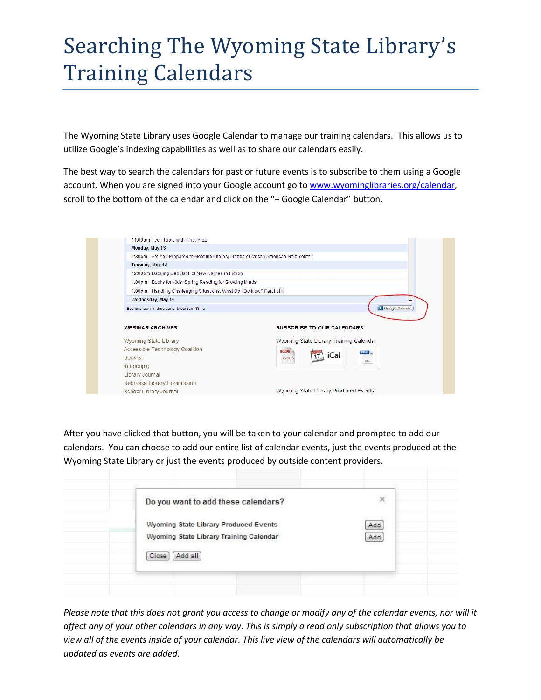## Searching The Wyoming State Library's Training Calendars

The Wyoming State Library uses Google Calendar to manage our training calendars. This allows us to utilize Google's indexing capabilities as well as to share our calendars easily.

The best way to search the calendars for past or future events is to subscribe to them using a Google account. When you are signed into your Google account go t[o www.wyominglibraries.org/calendar,](www.wyominglibraries.org/calendar) scroll to the bottom of the calendar and click on the "+ Google Calendar" button.

| 11:00am Tech Tools with Tine: Prezi                                                |                                         |
|------------------------------------------------------------------------------------|-----------------------------------------|
| Monday, May 13                                                                     |                                         |
| 1:30pm Are You Prepared to Meet the Literacy Needs of African American Male Youth? |                                         |
| Tuesday, May 14                                                                    |                                         |
| 12:00pm Dazzling Debuts: Hot New Names in Fiction                                  |                                         |
| 1:00pm Books for Kids: Spring Reading for Growing Minds                            |                                         |
| 1:00pm Handling Challenging Situations: What Do I Do Now? Part I of II             |                                         |
| Wednesday, May 15                                                                  |                                         |
| Events shown in time zone: Mountain Time                                           | <b>Gougle Calendar</b>                  |
|                                                                                    |                                         |
| <b>WEBINAR ARCHIVES</b>                                                            | <b>SUBSCRIBE TO OUR CALENDARS</b>       |
| Wyoming State Library                                                              | Wyoming State Library Training Calendar |
| Accessible Technology Coalition                                                    | XML<br><b>HTML</b>                      |
| <b>Booklist</b>                                                                    | iCal<br><xml></xml><br><b>HTML</b>      |
|                                                                                    |                                         |
|                                                                                    |                                         |
|                                                                                    |                                         |
| Infopeople<br>Library Journal<br>Nebraska Library Commission                       |                                         |

After you have clicked that button, you will be taken to your calendar and prompted to add our calendars. You can choose to add our entire list of calendar events, just the events produced at the Wyoming State Library or just the events produced by outside content providers.

| Do you want to add these calendars?     | $\boldsymbol{\times}$ |
|-----------------------------------------|-----------------------|
| Wyoming State Library Produced Events   | Add                   |
| Wyoming State Library Training Calendar | Add                   |
| Add all<br>Close                        |                       |

*Please note that this does not grant you access to change or modify any of the calendar events, nor will it affect any of your other calendars in any way. This is simply a read only subscription that allows you to view all of the events inside of your calendar. This live view of the calendars will automatically be updated as events are added.*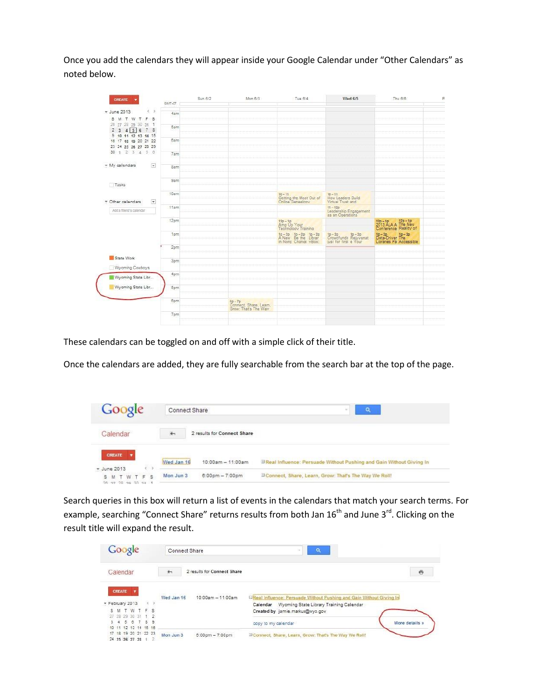Once you add the calendars they will appear inside your Google Calendar under "Other Calendars" as noted below.

| 大义<br>* June 2013<br>4am<br>S M T W T F S<br>26 27 28 29 30 31 1<br>5am<br>$2$ 3 4 5 6 7 8<br>9 10 11 12 13 14 15<br>6am<br>16 17 18 19 20 21 22<br>23 24 25 26 27 28 29<br>$30 \t1 \t2 \t3 \t4 \t5 \t6$<br>7am<br>$\overline{\mathbf{v}}$<br>+ My calendars<br>8am<br>9am<br>Tasks<br>10am<br>$10 - 11$<br>$10 - 11$<br>Getting the Most Out of<br>How Leaders Build<br>$\blacktriangledown$<br>* Other calendars<br>Virtual Trust and<br>11am<br>11 - 12p<br>Leadership Engagement<br>as an Operations<br>Add a friend's calendar<br>12pm<br>12p - 1p 12p - 1p<br>2013 ALA A The New<br>Conference Reality of<br>12p-1p<br>Amp Up Your<br>Technology Training<br>$1p - 2p$ $1p - 2p$ $1p - 2p$ $1p - 2p$ $1p - 2p$ A New Be the Librar<br>1p-2p<br>Data-Driver The<br>1pm<br>1p-2p<br>Crowdfundii Rejuvenat<br>in Nong Change vBox:<br>just for first e Your<br>Libraries Pa Accessible<br>2pm<br>State Work<br>3pm<br>Wyoming Cowboys<br>4pm<br>Wyoming State Libr<br>Wyoming State Libr<br>5pm<br>6pm<br>6p-7p<br>Connect, Share, Learn,<br>Grow: That's The Way<br>7pm | CREATE |        | Sun 6/2 | Mon 6/3 | Tue 6/4 | Wed 6/5 | Thu 6/6 | F) |
|-----------------------------------------------------------------------------------------------------------------------------------------------------------------------------------------------------------------------------------------------------------------------------------------------------------------------------------------------------------------------------------------------------------------------------------------------------------------------------------------------------------------------------------------------------------------------------------------------------------------------------------------------------------------------------------------------------------------------------------------------------------------------------------------------------------------------------------------------------------------------------------------------------------------------------------------------------------------------------------------------------------------------------------------------------------------------------|--------|--------|---------|---------|---------|---------|---------|----|
|                                                                                                                                                                                                                                                                                                                                                                                                                                                                                                                                                                                                                                                                                                                                                                                                                                                                                                                                                                                                                                                                             |        | GMT-07 |         |         |         |         |         |    |
|                                                                                                                                                                                                                                                                                                                                                                                                                                                                                                                                                                                                                                                                                                                                                                                                                                                                                                                                                                                                                                                                             |        |        |         |         |         |         |         |    |
|                                                                                                                                                                                                                                                                                                                                                                                                                                                                                                                                                                                                                                                                                                                                                                                                                                                                                                                                                                                                                                                                             |        |        |         |         |         |         |         |    |
|                                                                                                                                                                                                                                                                                                                                                                                                                                                                                                                                                                                                                                                                                                                                                                                                                                                                                                                                                                                                                                                                             |        |        |         |         |         |         |         |    |
|                                                                                                                                                                                                                                                                                                                                                                                                                                                                                                                                                                                                                                                                                                                                                                                                                                                                                                                                                                                                                                                                             |        |        |         |         |         |         |         |    |
|                                                                                                                                                                                                                                                                                                                                                                                                                                                                                                                                                                                                                                                                                                                                                                                                                                                                                                                                                                                                                                                                             |        |        |         |         |         |         |         |    |
|                                                                                                                                                                                                                                                                                                                                                                                                                                                                                                                                                                                                                                                                                                                                                                                                                                                                                                                                                                                                                                                                             |        |        |         |         |         |         |         |    |
|                                                                                                                                                                                                                                                                                                                                                                                                                                                                                                                                                                                                                                                                                                                                                                                                                                                                                                                                                                                                                                                                             |        |        |         |         |         |         |         |    |
|                                                                                                                                                                                                                                                                                                                                                                                                                                                                                                                                                                                                                                                                                                                                                                                                                                                                                                                                                                                                                                                                             |        |        |         |         |         |         |         |    |
|                                                                                                                                                                                                                                                                                                                                                                                                                                                                                                                                                                                                                                                                                                                                                                                                                                                                                                                                                                                                                                                                             |        |        |         |         |         |         |         |    |
|                                                                                                                                                                                                                                                                                                                                                                                                                                                                                                                                                                                                                                                                                                                                                                                                                                                                                                                                                                                                                                                                             |        |        |         |         |         |         |         |    |
|                                                                                                                                                                                                                                                                                                                                                                                                                                                                                                                                                                                                                                                                                                                                                                                                                                                                                                                                                                                                                                                                             |        |        |         |         |         |         |         |    |
|                                                                                                                                                                                                                                                                                                                                                                                                                                                                                                                                                                                                                                                                                                                                                                                                                                                                                                                                                                                                                                                                             |        |        |         |         |         |         |         |    |
|                                                                                                                                                                                                                                                                                                                                                                                                                                                                                                                                                                                                                                                                                                                                                                                                                                                                                                                                                                                                                                                                             |        |        |         |         |         |         |         |    |
|                                                                                                                                                                                                                                                                                                                                                                                                                                                                                                                                                                                                                                                                                                                                                                                                                                                                                                                                                                                                                                                                             |        |        |         |         |         |         |         |    |
|                                                                                                                                                                                                                                                                                                                                                                                                                                                                                                                                                                                                                                                                                                                                                                                                                                                                                                                                                                                                                                                                             |        |        |         |         |         |         |         |    |
|                                                                                                                                                                                                                                                                                                                                                                                                                                                                                                                                                                                                                                                                                                                                                                                                                                                                                                                                                                                                                                                                             |        |        |         |         |         |         |         |    |
|                                                                                                                                                                                                                                                                                                                                                                                                                                                                                                                                                                                                                                                                                                                                                                                                                                                                                                                                                                                                                                                                             |        |        |         |         |         |         |         |    |
|                                                                                                                                                                                                                                                                                                                                                                                                                                                                                                                                                                                                                                                                                                                                                                                                                                                                                                                                                                                                                                                                             |        |        |         |         |         |         |         |    |
|                                                                                                                                                                                                                                                                                                                                                                                                                                                                                                                                                                                                                                                                                                                                                                                                                                                                                                                                                                                                                                                                             |        |        |         |         |         |         |         |    |
|                                                                                                                                                                                                                                                                                                                                                                                                                                                                                                                                                                                                                                                                                                                                                                                                                                                                                                                                                                                                                                                                             |        |        |         |         |         |         |         |    |
|                                                                                                                                                                                                                                                                                                                                                                                                                                                                                                                                                                                                                                                                                                                                                                                                                                                                                                                                                                                                                                                                             |        |        |         |         |         |         |         |    |
|                                                                                                                                                                                                                                                                                                                                                                                                                                                                                                                                                                                                                                                                                                                                                                                                                                                                                                                                                                                                                                                                             |        |        |         |         |         |         |         |    |
|                                                                                                                                                                                                                                                                                                                                                                                                                                                                                                                                                                                                                                                                                                                                                                                                                                                                                                                                                                                                                                                                             |        |        |         |         |         |         |         |    |
|                                                                                                                                                                                                                                                                                                                                                                                                                                                                                                                                                                                                                                                                                                                                                                                                                                                                                                                                                                                                                                                                             |        |        |         |         |         |         |         |    |
|                                                                                                                                                                                                                                                                                                                                                                                                                                                                                                                                                                                                                                                                                                                                                                                                                                                                                                                                                                                                                                                                             |        |        |         |         |         |         |         |    |
|                                                                                                                                                                                                                                                                                                                                                                                                                                                                                                                                                                                                                                                                                                                                                                                                                                                                                                                                                                                                                                                                             |        |        |         |         |         |         |         |    |
|                                                                                                                                                                                                                                                                                                                                                                                                                                                                                                                                                                                                                                                                                                                                                                                                                                                                                                                                                                                                                                                                             |        |        |         |         |         |         |         |    |
|                                                                                                                                                                                                                                                                                                                                                                                                                                                                                                                                                                                                                                                                                                                                                                                                                                                                                                                                                                                                                                                                             |        |        |         |         |         |         |         |    |
|                                                                                                                                                                                                                                                                                                                                                                                                                                                                                                                                                                                                                                                                                                                                                                                                                                                                                                                                                                                                                                                                             |        |        |         |         |         |         |         |    |
|                                                                                                                                                                                                                                                                                                                                                                                                                                                                                                                                                                                                                                                                                                                                                                                                                                                                                                                                                                                                                                                                             |        |        |         |         |         |         |         |    |
|                                                                                                                                                                                                                                                                                                                                                                                                                                                                                                                                                                                                                                                                                                                                                                                                                                                                                                                                                                                                                                                                             |        |        |         |         |         |         |         |    |
|                                                                                                                                                                                                                                                                                                                                                                                                                                                                                                                                                                                                                                                                                                                                                                                                                                                                                                                                                                                                                                                                             |        |        |         |         |         |         |         |    |

These calendars can be toggled on and off with a simple click of their title.

Once the calendars are added, they are fully searchable from the search bar at the top of the page.

| Google                                                   | Connect Share                      |                                                                       |  |  |  |
|----------------------------------------------------------|------------------------------------|-----------------------------------------------------------------------|--|--|--|
| Calendar                                                 | 2 results for Connect Share<br>$+$ |                                                                       |  |  |  |
| <b>CREATE</b>                                            | Wed Jan 16<br>$10:00am - 11:00am$  | B Real Influence: Persuade Without Pushing and Gain Without Giving In |  |  |  |
| * June 2013<br><b>MTWTFS</b><br>s<br>38 97 38 99 30 34 1 | Mon Jun 3<br>$6:00$ pm $-7:00$ pm  | <sup>3</sup> Connect, Share, Learn, Grow: That's The Way We Roll!     |  |  |  |

Search queries in this box will return a list of events in the calendars that match your search terms. For example, searching "Connect Share" returns results from both Jan 16<sup>th</sup> and June 3<sup>rd</sup>. Clicking on the result title will expand the result.

| Google                                                                                                           | Connect Share                                  | <b>Q</b><br>۰                                                                                                                                                                                           |
|------------------------------------------------------------------------------------------------------------------|------------------------------------------------|---------------------------------------------------------------------------------------------------------------------------------------------------------------------------------------------------------|
| Calendar                                                                                                         | $+$<br>2 results for Connect Share             | $\ddot{\sigma}$                                                                                                                                                                                         |
| <b>CREATE</b><br>- February 2013<br>SMTWTFS<br>27 28 29 30 31<br>4 5 6 7<br>3.<br>8<br>э<br>10 11 12 13 14 15 16 | Wed Jan 16<br>10:00am - 11:00am                | EReal Influence: Persuade Without Pushing and Gain Without Giving In<br>Wyoming State Library Training Calendar<br>Calendar<br>Created by jamie.markus@wyo.gov<br>More details »<br>copy to my calendar |
| 17 18 19 20 21 22 23<br>24 25 26 27 28                                                                           | Mon Jun 3<br>$6:00 \text{pm} - 7:00 \text{pm}$ | <b>EConnect, Share, Learn, Grow: That's The Way We Roll!</b>                                                                                                                                            |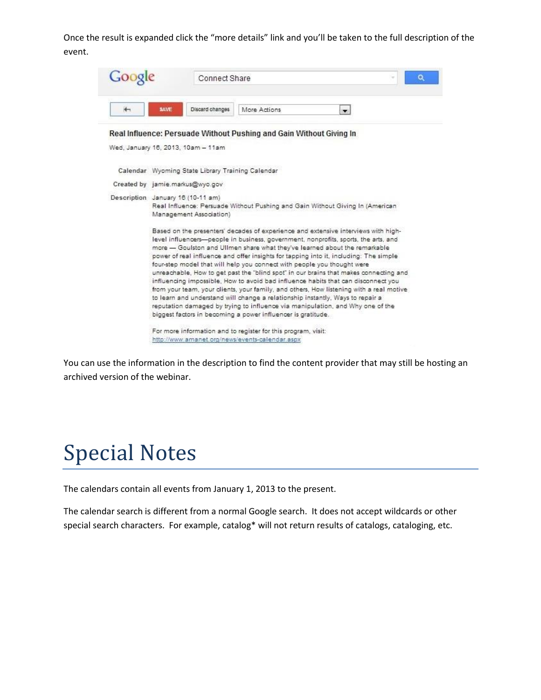Once the result is expanded click the "more details" link and you'll be taken to the full description of the event.

| Goog | <b>Connect Share</b>                                                                                                                                                                                                                                                                                                                                                                                                                                                                                                                                                                                                                                                                                                                                                                                                                                                                                                                     |  |  |  |  |  |  |
|------|------------------------------------------------------------------------------------------------------------------------------------------------------------------------------------------------------------------------------------------------------------------------------------------------------------------------------------------------------------------------------------------------------------------------------------------------------------------------------------------------------------------------------------------------------------------------------------------------------------------------------------------------------------------------------------------------------------------------------------------------------------------------------------------------------------------------------------------------------------------------------------------------------------------------------------------|--|--|--|--|--|--|
| 街    | <b>SAVE</b><br>Discard changes<br>More Actions<br>$\blacksquare$                                                                                                                                                                                                                                                                                                                                                                                                                                                                                                                                                                                                                                                                                                                                                                                                                                                                         |  |  |  |  |  |  |
|      | Real Influence: Persuade Without Pushing and Gain Without Giving In                                                                                                                                                                                                                                                                                                                                                                                                                                                                                                                                                                                                                                                                                                                                                                                                                                                                      |  |  |  |  |  |  |
|      | Wed, January 16, 2013, 10am - 11am                                                                                                                                                                                                                                                                                                                                                                                                                                                                                                                                                                                                                                                                                                                                                                                                                                                                                                       |  |  |  |  |  |  |
|      | Calendar Wyoming State Library Training Calendar                                                                                                                                                                                                                                                                                                                                                                                                                                                                                                                                                                                                                                                                                                                                                                                                                                                                                         |  |  |  |  |  |  |
|      | Created by jamie.markus@wyo.gov                                                                                                                                                                                                                                                                                                                                                                                                                                                                                                                                                                                                                                                                                                                                                                                                                                                                                                          |  |  |  |  |  |  |
|      | Description January 16 (10-11 am)<br>Real Influence: Persuade Without Pushing and Gain Without Giving In (American<br>Management Association)                                                                                                                                                                                                                                                                                                                                                                                                                                                                                                                                                                                                                                                                                                                                                                                            |  |  |  |  |  |  |
|      | Based on the presenters' decades of experience and extensive interviews with high-<br>level influencers-people in business, government, nonprofits, sports, the arts, and<br>more - Goulston and Ullmen share what they've learned about the remarkable<br>power of real influence and offer insights for tapping into it, including: The simple<br>four-step model that will help you connect with people you thought were<br>unreachable, How to get past the "blind spot" in our brains that makes connecting and<br>influencing impossible, How to avoid bad influence habits that can disconnect you<br>from your team, your clients, your family, and others, How listening with a real motive<br>to learn and understand will change a relationship instantly, Ways to repair a<br>reputation damaged by trying to influence via manipulation, and Why one of the<br>biggest factors in becoming a power influencer is gratitude. |  |  |  |  |  |  |
|      | For more information and to register for this program, visit:<br>http://www.amanet.org/news/events-calendar.aspx                                                                                                                                                                                                                                                                                                                                                                                                                                                                                                                                                                                                                                                                                                                                                                                                                         |  |  |  |  |  |  |

You can use the information in the description to find the content provider that may still be hosting an archived version of the webinar.

## Special Notes

The calendars contain all events from January 1, 2013 to the present.

The calendar search is different from a normal Google search. It does not accept wildcards or other special search characters. For example, catalog\* will not return results of catalogs, cataloging, etc.